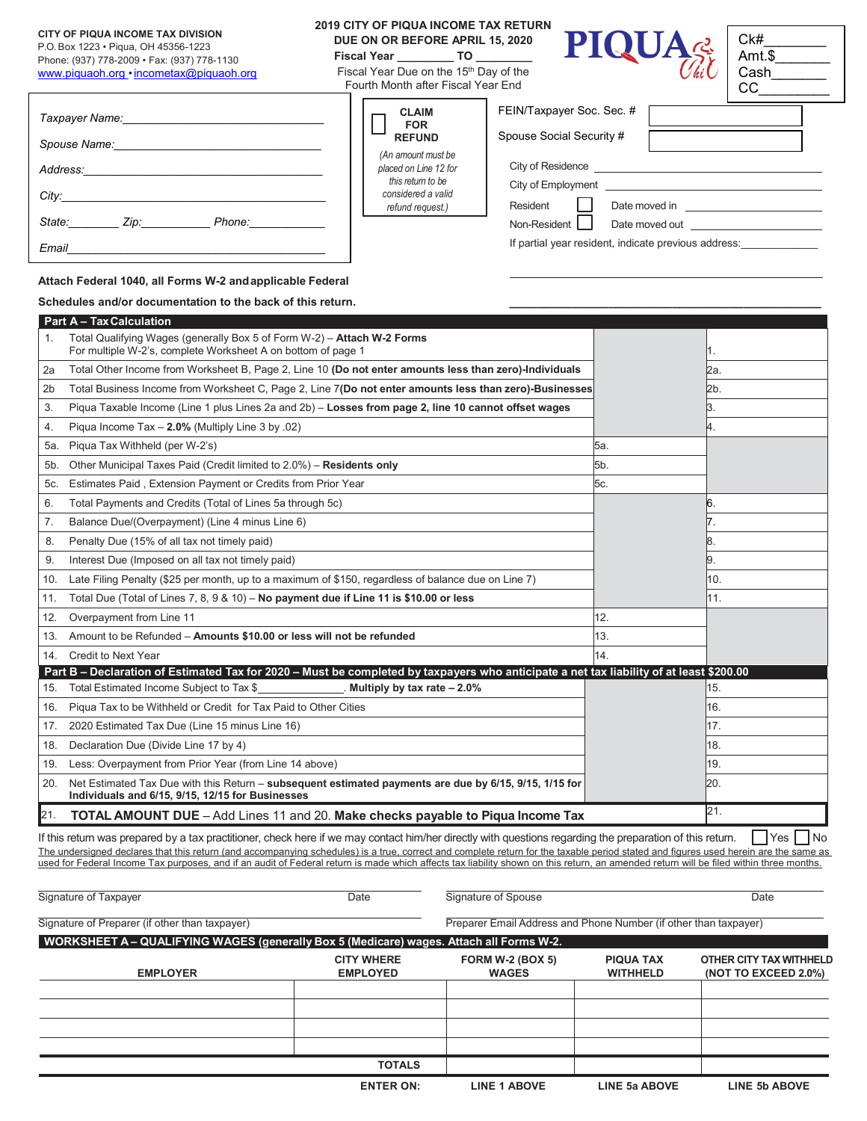## **CITY OF PIQUA INCOME TAX DIVISION**

## P.O. Box 1223 • Piqua, OH 45356-1223

*Taxpayer Name:\_\_\_\_\_\_\_\_\_\_\_\_\_\_\_\_\_\_\_\_\_\_\_\_\_\_\_\_\_\_\_\_*

 $E$ *mail* 

Phone: (937) 778-2009 • Fax: (937) 778-1130 [www.piquaoh.org •](http://www.piquaoh.org/) [incometax@piquaoh.org](mailto:incometax@piquaoh.org)

## **2019 CITY OF PIQUA INCOME TAX RETURN DUE ON OR BEFORE APRIL 15, 2020**

**Fiscal Year \_\_\_\_\_\_\_\_\_ TO \_\_\_\_\_\_\_\_\_**

Г

Fiscal Year Due on the 15<sup>th</sup> Day of the Fourth Month after Fiscal Year End

| $\textbf{PIQUA}_{\textit{C4C}}^{\textit{C4}}\left \begin{smallmatrix} \textit{C4} \ \textit{C4} \ \textit{C4} \ \textit{C4} \ \textit{C4} \ \textit{C4} \ \textit{C4} \ \textit{C4} \ \textit{C4} \ \textit{C4} \ \textit{C4} \ \textit{C4} \ \textit{C4} \ \textit{C4} \ \textit{C4} \ \textit{C4} \ \textit{C4} \ \textit{C4} \ \textit{C4} \ \textit{C4} \ \textit{C4} \ \textit{C4} \ \textit{C4} \ \textit{$ |
|-------------------------------------------------------------------------------------------------------------------------------------------------------------------------------------------------------------------------------------------------------------------------------------------------------------------------------------------------------------------------------------------------------------------|
|-------------------------------------------------------------------------------------------------------------------------------------------------------------------------------------------------------------------------------------------------------------------------------------------------------------------------------------------------------------------------------------------------------------------|

| Ck#    |  |
|--------|--|
| Amt.\$ |  |
| Cash   |  |
|        |  |

| <b>CLAIM</b><br><b>FOR</b>                                                                                 | FEIN/Taxpayer Soc. Sec. #                                            |
|------------------------------------------------------------------------------------------------------------|----------------------------------------------------------------------|
| <b>REFUND</b>                                                                                              | Spouse Social Security #                                             |
| (An amount must be<br>placed on Line 12 for<br>this return to be<br>considered a valid<br>refund request.) | City of Residence<br>City of Employment<br>Resident<br>Date moved in |
|                                                                                                            | Non-Resident<br>Date moved out                                       |
|                                                                                                            | If partial year resident, indicate previous address:                 |

**Attach Federal 1040, all Forms W-2 andapplicable Federal**

Taxpayer Social Security # *City:\_\_\_\_\_\_\_\_\_\_\_\_\_\_\_\_\_\_\_\_\_\_\_\_\_\_\_\_\_\_\_\_\_\_\_\_\_\_\_\_\_\_*

*State:\_\_\_\_\_\_\_\_ Zip:\_\_\_\_\_\_\_\_\_\_\_ Phone:\_\_\_\_\_\_\_\_\_\_\_\_*

*Address:\_\_\_\_\_\_\_\_\_\_\_\_\_\_\_\_\_\_\_\_\_\_\_\_\_\_\_\_\_\_\_\_\_\_\_\_\_\_*

*Spouse Name:\_\_\_\_\_\_\_\_\_\_\_\_\_\_\_\_\_\_\_\_\_\_\_\_\_\_\_\_\_\_\_\_\_*

## Schedules and/or documentation to the back of this return.

|                | <b>Part A - Tax Calculation</b>                                                                                                                            |     |      |  |  |
|----------------|------------------------------------------------------------------------------------------------------------------------------------------------------------|-----|------|--|--|
| 1.             | Total Qualifying Wages (generally Box 5 of Form W-2) - Attach W-2 Forms<br>For multiple W-2's, complete Worksheet A on bottom of page 1                    |     |      |  |  |
| 2a             | Total Other Income from Worksheet B, Page 2, Line 10 (Do not enter amounts less than zero)-Individuals                                                     |     | 2a.  |  |  |
| 2 <sub>b</sub> | Total Business Income from Worksheet C, Page 2, Line 7(Do not enter amounts less than zero)-Businesses                                                     |     | l2b. |  |  |
| 3.             | Piqua Taxable Income (Line 1 plus Lines 2a and 2b) - Losses from page 2, line 10 cannot offset wages                                                       |     | 3.   |  |  |
| 4.             | Piqua Income Tax - 2.0% (Multiply Line 3 by .02)                                                                                                           |     | 4.   |  |  |
| 5а.            | Piqua Tax Withheld (per W-2's)                                                                                                                             | 5а. |      |  |  |
| 5 <sub>b</sub> | Other Municipal Taxes Paid (Credit limited to 2.0%) - Residents only                                                                                       | 5b. |      |  |  |
| 5с.            | Estimates Paid, Extension Payment or Credits from Prior Year                                                                                               | 5с. |      |  |  |
| 6.             | Total Payments and Credits (Total of Lines 5a through 5c)                                                                                                  |     | 6.   |  |  |
| 7.             | Balance Due/(Overpayment) (Line 4 minus Line 6)                                                                                                            |     | 7.   |  |  |
| 8.             | Penalty Due (15% of all tax not timely paid)                                                                                                               |     | 8.   |  |  |
| 9.             | Interest Due (Imposed on all tax not timely paid)                                                                                                          |     | 9.   |  |  |
| 10.            | Late Filing Penalty (\$25 per month, up to a maximum of \$150, regardless of balance due on Line 7)                                                        |     | 10.  |  |  |
| 11.            | Total Due (Total of Lines 7, 8, 9 & 10) - No payment due if Line 11 is \$10.00 or less                                                                     |     | 11.  |  |  |
| 12.            | Overpayment from Line 11                                                                                                                                   | 12. |      |  |  |
| 13.            | Amount to be Refunded - Amounts \$10.00 or less will not be refunded                                                                                       | 13. |      |  |  |
| 14.            | <b>Credit to Next Year</b>                                                                                                                                 | 14  |      |  |  |
|                | Part B – Declaration of Estimated Tax for 2020 – Must be completed by taxpayers who anticipate a net tax liability of at least \$200.00                    |     |      |  |  |
| 15.            | Total Estimated Income Subject to Tax \$<br>Multiply by tax rate $-2.0\%$                                                                                  |     | 15.  |  |  |
| 16.            | Piqua Tax to be Withheld or Credit for Tax Paid to Other Cities                                                                                            |     | 16.  |  |  |
| 17.            | 2020 Estimated Tax Due (Line 15 minus Line 16)                                                                                                             |     | 17.  |  |  |
| 18.            | Declaration Due (Divide Line 17 by 4)                                                                                                                      |     | 18.  |  |  |
| 19.            | Less: Overpayment from Prior Year (from Line 14 above)                                                                                                     |     | 19.  |  |  |
| 20.            | Net Estimated Tax Due with this Return - subsequent estimated payments are due by 6/15, 9/15, 1/15 for<br>Individuals and 6/15, 9/15, 12/15 for Businesses |     | 20.  |  |  |
| 21.            | <b>TOTAL AMOUNT DUE</b> - Add Lines 11 and 20. Make checks payable to Piqua Income Tax                                                                     |     | 21.  |  |  |

If this return was prepared by a tax practitioner, check here if we may contact him/her directly with questions regarding the preparation of this return.  $\Box$  Yes  $\Box$  No The undersigned declares that this return (and accompanying schedules) is a true, correct and complete return for the taxable period stated and figures used herein are the same as used for Federal Income Tax purposes, and if an audit of Federal return is made which affects tax liability shown on this return, an amended return will be filed within three months.

| Signature of Taxpayer                                                                   | Date                                                             | Signature of Spouse                     |                                     | Date                                            |
|-----------------------------------------------------------------------------------------|------------------------------------------------------------------|-----------------------------------------|-------------------------------------|-------------------------------------------------|
| Signature of Preparer (if other than taxpayer)                                          | Preparer Email Address and Phone Number (if other than taxpayer) |                                         |                                     |                                                 |
| WORKSHEET A - QUALIFYING WAGES (generally Box 5 (Medicare) wages. Attach all Forms W-2. |                                                                  |                                         |                                     |                                                 |
| <b>EMPLOYER</b>                                                                         | <b>CITY WHERE</b><br><b>EMPLOYED</b>                             | <b>FORM W-2 (BOX 5)</b><br><b>WAGES</b> | <b>PIQUA TAX</b><br><b>WITHHELD</b> | OTHER CITY TAX WITHHELD<br>(NOT TO EXCEED 2.0%) |
|                                                                                         |                                                                  |                                         |                                     |                                                 |
|                                                                                         |                                                                  |                                         |                                     |                                                 |
|                                                                                         |                                                                  |                                         |                                     |                                                 |
|                                                                                         |                                                                  |                                         |                                     |                                                 |
|                                                                                         | <b>TOTALS</b>                                                    |                                         |                                     |                                                 |
|                                                                                         | <b>ENTER ON:</b>                                                 | <b>LINE 1 ABOVE</b>                     | <b>LINE 5a ABOVE</b>                | <b>LINE 5b ABOVE</b>                            |